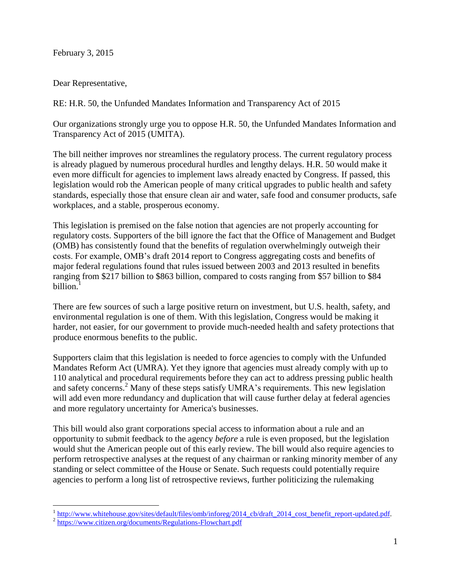February 3, 2015

Dear Representative,

RE: H.R. 50, the Unfunded Mandates Information and Transparency Act of 2015

Our organizations strongly urge you to oppose H.R. 50, the Unfunded Mandates Information and Transparency Act of 2015 (UMITA).

The bill neither improves nor streamlines the regulatory process. The current regulatory process is already plagued by numerous procedural hurdles and lengthy delays. H.R. 50 would make it even more difficult for agencies to implement laws already enacted by Congress. If passed, this legislation would rob the American people of many critical upgrades to public health and safety standards, especially those that ensure clean air and water, safe food and consumer products, safe workplaces, and a stable, prosperous economy.

This legislation is premised on the false notion that agencies are not properly accounting for regulatory costs. Supporters of the bill ignore the fact that the Office of Management and Budget (OMB) has consistently found that the benefits of regulation overwhelmingly outweigh their costs. For example, OMB's draft 2014 report to Congress aggregating costs and benefits of major federal regulations found that rules issued between 2003 and 2013 resulted in benefits ranging from \$217 billion to \$863 billion, compared to costs ranging from \$57 billion to \$84 billion.<sup>1</sup>

There are few sources of such a large positive return on investment, but U.S. health, safety, and environmental regulation is one of them. With this legislation, Congress would be making it harder, not easier, for our government to provide much-needed health and safety protections that produce enormous benefits to the public.

Supporters claim that this legislation is needed to force agencies to comply with the Unfunded Mandates Reform Act (UMRA). Yet they ignore that agencies must already comply with up to 110 analytical and procedural requirements before they can act to address pressing public health and safety concerns. <sup>2</sup> Many of these steps satisfy UMRA's requirements. This new legislation will add even more redundancy and duplication that will cause further delay at federal agencies and more regulatory uncertainty for America's businesses.

This bill would also grant corporations special access to information about a rule and an opportunity to submit feedback to the agency *before* a rule is even proposed, but the legislation would shut the American people out of this early review. The bill would also require agencies to perform retrospective analyses at the request of any chairman or ranking minority member of any standing or select committee of the House or Senate. Such requests could potentially require agencies to perform a long list of retrospective reviews, further politicizing the rulemaking

 $\overline{a}$ 

<sup>&</sup>lt;sup>1</sup> [http://www.whitehouse.gov/sites/default/files/omb/inforeg/2014\\_cb/draft\\_2014\\_cost\\_benefit\\_report-updated.pdf.](http://www.whitehouse.gov/sites/default/files/omb/inforeg/2014_cb/draft_2014_cost_benefit_report-updated.pdf)

<sup>&</sup>lt;sup>2</sup> <https://www.citizen.org/documents/Regulations-Flowchart.pdf>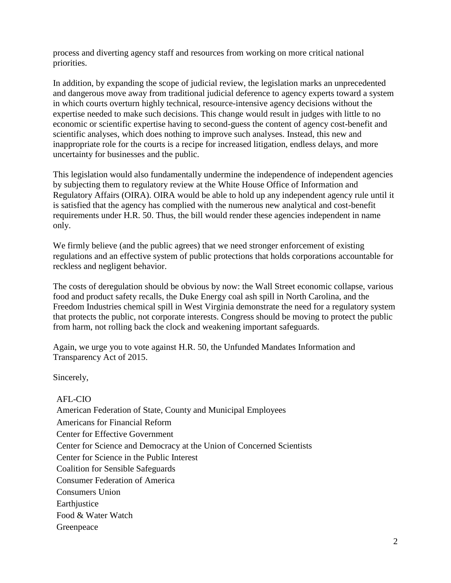process and diverting agency staff and resources from working on more critical national priorities.

In addition, by expanding the scope of judicial review, the legislation marks an unprecedented and dangerous move away from traditional judicial deference to agency experts toward a system in which courts overturn highly technical, resource-intensive agency decisions without the expertise needed to make such decisions. This change would result in judges with little to no economic or scientific expertise having to second-guess the content of agency cost-benefit and scientific analyses, which does nothing to improve such analyses. Instead, this new and inappropriate role for the courts is a recipe for increased litigation, endless delays, and more uncertainty for businesses and the public.

This legislation would also fundamentally undermine the independence of independent agencies by subjecting them to regulatory review at the White House Office of Information and Regulatory Affairs (OIRA). OIRA would be able to hold up any independent agency rule until it is satisfied that the agency has complied with the numerous new analytical and cost-benefit requirements under H.R. 50. Thus, the bill would render these agencies independent in name only.

We firmly believe (and the public agrees) that we need stronger enforcement of existing regulations and an effective system of public protections that holds corporations accountable for reckless and negligent behavior.

The costs of deregulation should be obvious by now: the Wall Street economic collapse, various food and product safety recalls, the Duke Energy coal ash spill in North Carolina, and the Freedom Industries chemical spill in West Virginia demonstrate the need for a regulatory system that protects the public, not corporate interests. Congress should be moving to protect the public from harm, not rolling back the clock and weakening important safeguards.

Again, we urge you to vote against H.R. 50, the Unfunded Mandates Information and Transparency Act of 2015.

Sincerely,

AFL-CIO American Federation of State, County and Municipal Employees Americans for Financial Reform Center for Effective Government Center for Science and Democracy at the Union of Concerned Scientists Center for Science in the Public Interest Coalition for Sensible Safeguards Consumer Federation of America Consumers Union **Earth** iustice Food & Water Watch Greenpeace